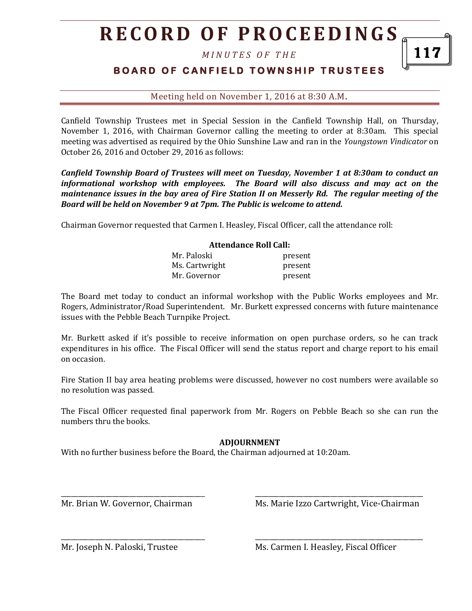# **R E C O R D O F P R O C E E D I N GS**

*M I N U T E S O F T H E* 

### **BOARD OF CANFIELD TOWNSHIP TRUSTEES**

#### Meeting held on November 1, 2016 at 8:30 A.M**.**

Canfield Township Trustees met in Special Session in the Canfield Township Hall, on Thursday, November 1, 2016, with Chairman Governor calling the meeting to order at 8:30am. This special meeting was advertised as required by the Ohio Sunshine Law and ran in the *Youngstown Vindicator* on October 26, 2016 and October 29, 2016 as follows:

*Canfield Township Board of Trustees will meet on Tuesday, November 1 at 8:30am to conduct an informational workshop with employees. The Board will also discuss and may act on the maintenance issues in the bay area of Fire Station II on Messerly Rd. The regular meeting of the Board will be held on November 9 at 7pm. The Public is welcome to attend.*

Chairman Governor requested that Carmen I. Heasley, Fiscal Officer, call the attendance roll:

#### **Attendance Roll Call:**

| Mr. Paloski    | present |
|----------------|---------|
| Ms. Cartwright | present |
| Mr. Governor   | present |

The Board met today to conduct an informal workshop with the Public Works employees and Mr. Rogers, Administrator/Road Superintendent. Mr. Burkett expressed concerns with future maintenance issues with the Pebble Beach Turnpike Project.

Mr. Burkett asked if it's possible to receive information on open purchase orders, so he can track expenditures in his office. The Fiscal Officer will send the status report and charge report to his email on occasion.

Fire Station II bay area heating problems were discussed, however no cost numbers were available so no resolution was passed.

The Fiscal Officer requested final paperwork from Mr. Rogers on Pebble Beach so she can run the numbers thru the books.

#### **ADJOURNMENT**

\_\_\_\_\_\_\_\_\_\_\_\_\_\_\_\_\_\_\_\_\_\_\_\_\_\_\_\_\_\_\_\_\_\_\_\_\_\_\_\_\_\_ \_\_\_\_\_\_\_\_\_\_\_\_\_\_\_\_\_\_\_\_\_\_\_\_\_\_\_\_\_\_\_\_\_\_\_\_\_\_\_\_\_\_\_\_\_\_\_\_\_

\_\_\_\_\_\_\_\_\_\_\_\_\_\_\_\_\_\_\_\_\_\_\_\_\_\_\_\_\_\_\_\_\_\_\_\_\_\_\_\_\_\_ \_\_\_\_\_\_\_\_\_\_\_\_\_\_\_\_\_\_\_\_\_\_\_\_\_\_\_\_\_\_\_\_\_\_\_\_\_\_\_\_\_\_\_\_\_\_\_\_\_

With no further business before the Board, the Chairman adjourned at 10:20am.

Mr. Brian W. Governor, Chairman Ms. Marie Izzo Cartwright, Vice-Chairman

Mr. Joseph N. Paloski, Trustee Ms. Carmen I. Heasley, Fiscal Officer

117